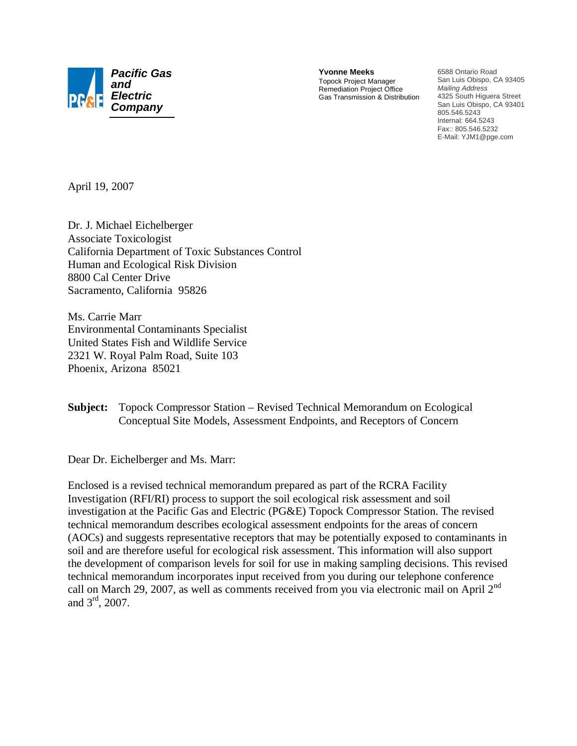

**Yvonne Meeks** Topock Project Manager Remediation Project Office Gas Transmission & Distribution 6588 Ontario Road San Luis Obispo, CA 93405 *Mailing Address* 4325 South Higuera Street San Luis Obispo, CA 93401 805.546.5243 Internal: 664.5243 Fax:: 805.546.5232 E-Mail: YJM1@pge.com

April 19, 2007

Dr. J. Michael Eichelberger Associate Toxicologist California Department of Toxic Substances Control Human and Ecological Risk Division 8800 Cal Center Drive Sacramento, California 95826

Ms. Carrie Marr Environmental Contaminants Specialist United States Fish and Wildlife Service 2321 W. Royal Palm Road, Suite 103 Phoenix, Arizona 85021

**Subject:** Topock Compressor Station – Revised Technical Memorandum on Ecological Conceptual Site Models, Assessment Endpoints, and Receptors of Concern

Dear Dr. Eichelberger and Ms. Marr:

Enclosed is a revised technical memorandum prepared as part of the RCRA Facility Investigation (RFI/RI) process to support the soil ecological risk assessment and soil investigation at the Pacific Gas and Electric (PG&E) Topock Compressor Station. The revised technical memorandum describes ecological assessment endpoints for the areas of concern (AOCs) and suggests representative receptors that may be potentially exposed to contaminants in soil and are therefore useful for ecological risk assessment. This information will also support the development of comparison levels for soil for use in making sampling decisions. This revised technical memorandum incorporates input received from you during our telephone conference call on March 29, 2007, as well as comments received from you via electronic mail on April 2<sup>nd</sup> and 3rd, 2007.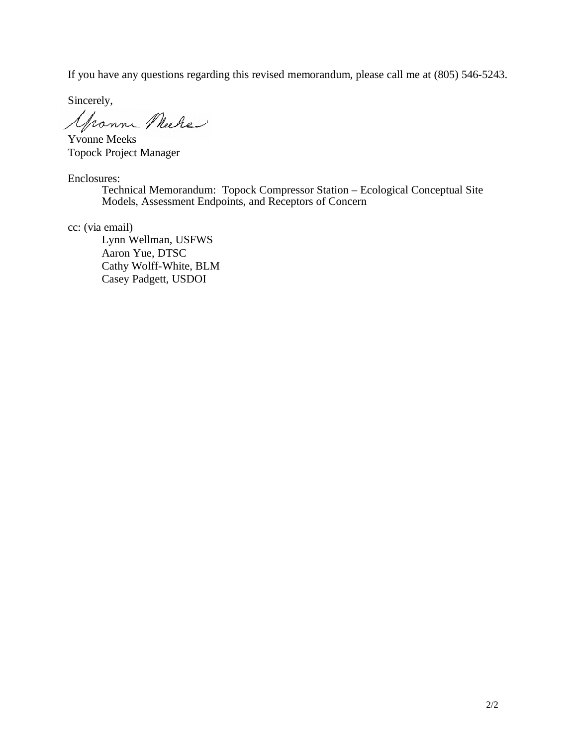If you have any questions regarding this revised memorandum, please call me at (805) 546-5243.

Sincerely,

Yronne Meche

Yvonne Meeks Topock Project Manager

Enclosures:

Technical Memorandum: Topock Compressor Station – Ecological Conceptual Site Models, Assessment Endpoints, and Receptors of Concern

cc: (via email)

Lynn Wellman, USFWS Aaron Yue, DTSC Cathy Wolff-White, BLM Casey Padgett, USDOI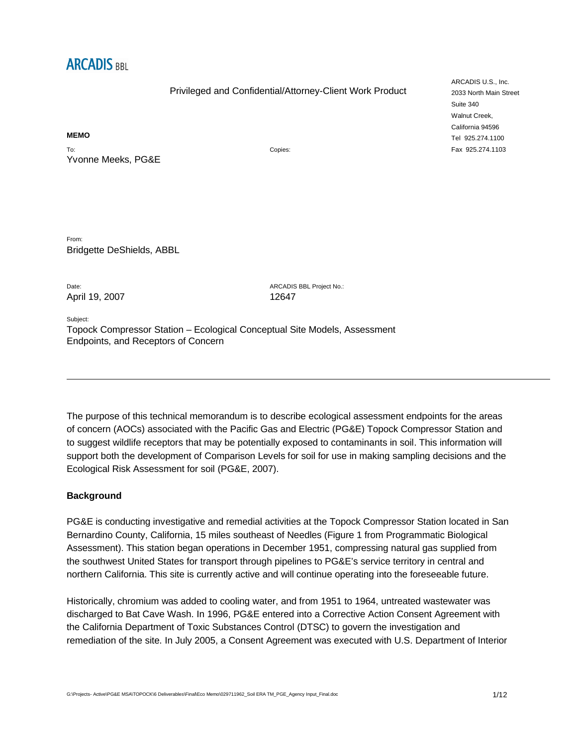

#### **MEMO**

To: Yvonne Meeks, PG&E Copies:

From: Bridgette DeShields, ABBL

April 19, 2007 12647

Date: ARCADIS BBL Project No.:

Subject: Topock Compressor Station – Ecological Conceptual Site Models, Assessment Endpoints, and Receptors of Concern

The purpose of this technical memorandum is to describe ecological assessment endpoints for the areas of concern (AOCs) associated with the Pacific Gas and Electric (PG&E) Topock Compressor Station and to suggest wildlife receptors that may be potentially exposed to contaminants in soil. This information will support both the development of Comparison Levels for soil for use in making sampling decisions and the Ecological Risk Assessment for soil (PG&E, 2007).

### **Background**

PG&E is conducting investigative and remedial activities at the Topock Compressor Station located in San Bernardino County, California, 15 miles southeast of Needles (Figure 1 from Programmatic Biological Assessment). This station began operations in December 1951, compressing natural gas supplied from the southwest United States for transport through pipelines to PG&E's service territory in central and northern California. This site is currently active and will continue operating into the foreseeable future.

Historically, chromium was added to cooling water, and from 1951 to 1964, untreated wastewater was discharged to Bat Cave Wash. In 1996, PG&E entered into a Corrective Action Consent Agreement with the California Department of Toxic Substances Control (DTSC) to govern the investigation and remediation of the site. In July 2005, a Consent Agreement was executed with U.S. Department of Interior

ARCADIS U.S., Inc. 2033 North Main Street Suite 340 Walnut Creek, California 94596 Tel 925.274.1100 Fax 925.274.1103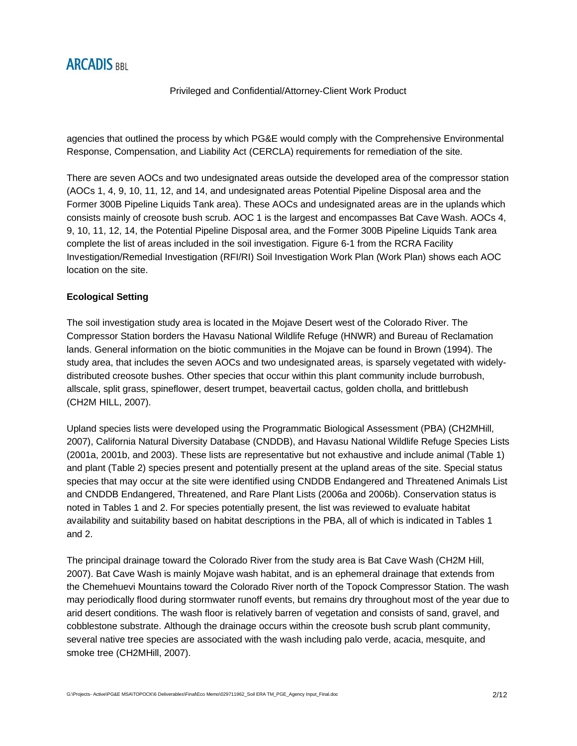agencies that outlined the process by which PG&E would comply with the Comprehensive Environmental Response, Compensation, and Liability Act (CERCLA) requirements for remediation of the site.

There are seven AOCs and two undesignated areas outside the developed area of the compressor station (AOCs 1, 4, 9, 10, 11, 12, and 14, and undesignated areas Potential Pipeline Disposal area and the Former 300B Pipeline Liquids Tank area). These AOCs and undesignated areas are in the uplands which consists mainly of creosote bush scrub. AOC 1 is the largest and encompasses Bat Cave Wash. AOCs 4, 9, 10, 11, 12, 14, the Potential Pipeline Disposal area, and the Former 300B Pipeline Liquids Tank area complete the list of areas included in the soil investigation. Figure 6-1 from the RCRA Facility Investigation/Remedial Investigation (RFI/RI) Soil Investigation Work Plan (Work Plan) shows each AOC location on the site.

### **Ecological Setting**

The soil investigation study area is located in the Mojave Desert west of the Colorado River. The Compressor Station borders the Havasu National Wildlife Refuge (HNWR) and Bureau of Reclamation lands. General information on the biotic communities in the Mojave can be found in Brown (1994). The study area, that includes the seven AOCs and two undesignated areas, is sparsely vegetated with widelydistributed creosote bushes. Other species that occur within this plant community include burrobush, allscale, split grass, spineflower, desert trumpet, beavertail cactus, golden cholla, and brittlebush (CH2M HILL, 2007).

Upland species lists were developed using the Programmatic Biological Assessment (PBA) (CH2MHill, 2007), California Natural Diversity Database (CNDDB), and Havasu National Wildlife Refuge Species Lists (2001a, 2001b, and 2003). These lists are representative but not exhaustive and include animal (Table 1) and plant (Table 2) species present and potentially present at the upland areas of the site. Special status species that may occur at the site were identified using CNDDB Endangered and Threatened Animals List and CNDDB Endangered, Threatened, and Rare Plant Lists (2006a and 2006b). Conservation status is noted in Tables 1 and 2. For species potentially present, the list was reviewed to evaluate habitat availability and suitability based on habitat descriptions in the PBA, all of which is indicated in Tables 1 and 2.

The principal drainage toward the Colorado River from the study area is Bat Cave Wash (CH2M Hill, 2007). Bat Cave Wash is mainly Mojave wash habitat, and is an ephemeral drainage that extends from the Chemehuevi Mountains toward the Colorado River north of the Topock Compressor Station. The wash may periodically flood during stormwater runoff events, but remains dry throughout most of the year due to arid desert conditions. The wash floor is relatively barren of vegetation and consists of sand, gravel, and cobblestone substrate. Although the drainage occurs within the creosote bush scrub plant community, several native tree species are associated with the wash including palo verde, acacia, mesquite, and smoke tree (CH2MHill, 2007).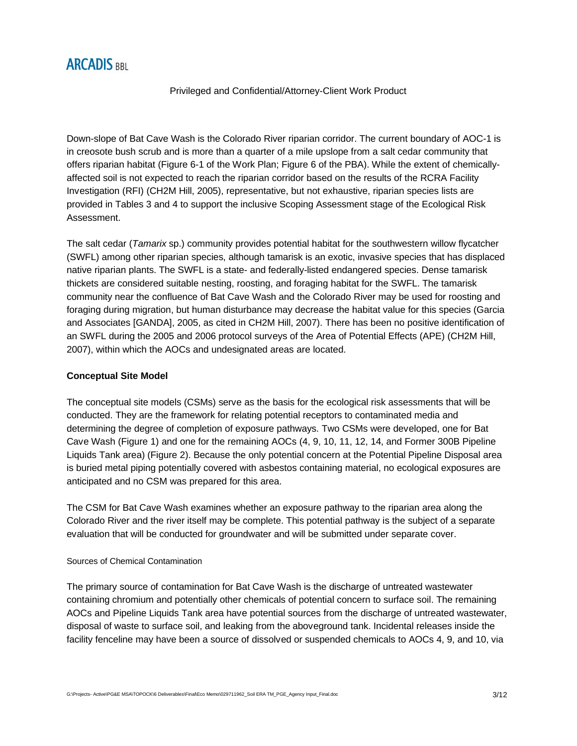# **ARCADIS BBL**

### Privileged and Confidential/Attorney-Client Work Product

Down-slope of Bat Cave Wash is the Colorado River riparian corridor. The current boundary of AOC-1 is in creosote bush scrub and is more than a quarter of a mile upslope from a salt cedar community that offers riparian habitat (Figure 6-1 of the Work Plan; Figure 6 of the PBA). While the extent of chemicallyaffected soil is not expected to reach the riparian corridor based on the results of the RCRA Facility Investigation (RFI) (CH2M Hill, 2005), representative, but not exhaustive, riparian species lists are provided in Tables 3 and 4 to support the inclusive Scoping Assessment stage of the Ecological Risk Assessment.

The salt cedar (*Tamarix* sp.) community provides potential habitat for the southwestern willow flycatcher (SWFL) among other riparian species, although tamarisk is an exotic, invasive species that has displaced native riparian plants. The SWFL is a state- and federally-listed endangered species. Dense tamarisk thickets are considered suitable nesting, roosting, and foraging habitat for the SWFL. The tamarisk community near the confluence of Bat Cave Wash and the Colorado River may be used for roosting and foraging during migration, but human disturbance may decrease the habitat value for this species (Garcia and Associates [GANDA], 2005, as cited in CH2M Hill, 2007). There has been no positive identification of an SWFL during the 2005 and 2006 protocol surveys of the Area of Potential Effects (APE) (CH2M Hill, 2007), within which the AOCs and undesignated areas are located.

### **Conceptual Site Model**

The conceptual site models (CSMs) serve as the basis for the ecological risk assessments that will be conducted. They are the framework for relating potential receptors to contaminated media and determining the degree of completion of exposure pathways. Two CSMs were developed, one for Bat Cave Wash (Figure 1) and one for the remaining AOCs (4, 9, 10, 11, 12, 14, and Former 300B Pipeline Liquids Tank area) (Figure 2). Because the only potential concern at the Potential Pipeline Disposal area is buried metal piping potentially covered with asbestos containing material, no ecological exposures are anticipated and no CSM was prepared for this area.

The CSM for Bat Cave Wash examines whether an exposure pathway to the riparian area along the Colorado River and the river itself may be complete. This potential pathway is the subject of a separate evaluation that will be conducted for groundwater and will be submitted under separate cover.

### Sources of Chemical Contamination

The primary source of contamination for Bat Cave Wash is the discharge of untreated wastewater containing chromium and potentially other chemicals of potential concern to surface soil. The remaining AOCs and Pipeline Liquids Tank area have potential sources from the discharge of untreated wastewater, disposal of waste to surface soil, and leaking from the aboveground tank. Incidental releases inside the facility fenceline may have been a source of dissolved or suspended chemicals to AOCs 4, 9, and 10, via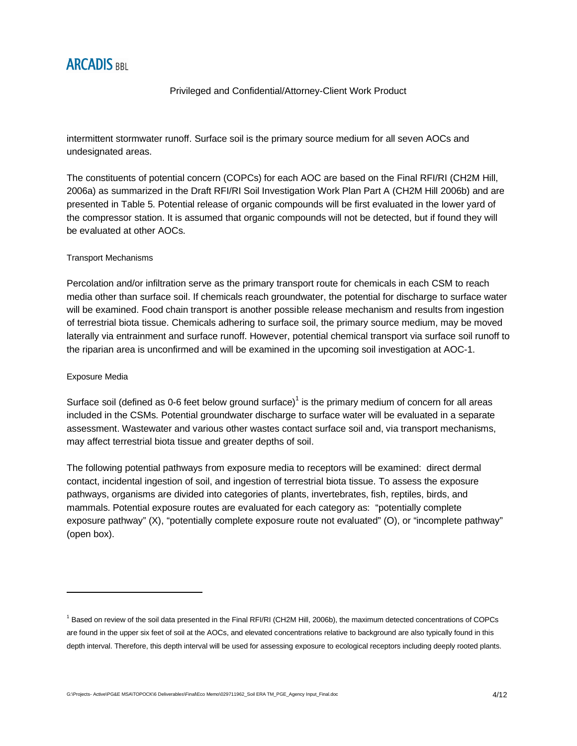# **ARCADIS RRI**

### Privileged and Confidential/Attorney-Client Work Product

intermittent stormwater runoff. Surface soil is the primary source medium for all seven AOCs and undesignated areas.

The constituents of potential concern (COPCs) for each AOC are based on the Final RFI/RI (CH2M Hill, 2006a) as summarized in the Draft RFI/RI Soil Investigation Work Plan Part A (CH2M Hill 2006b) and are presented in Table 5. Potential release of organic compounds will be first evaluated in the lower yard of the compressor station. It is assumed that organic compounds will not be detected, but if found they will be evaluated at other AOCs.

### Transport Mechanisms

Percolation and/or infiltration serve as the primary transport route for chemicals in each CSM to reach media other than surface soil. If chemicals reach groundwater, the potential for discharge to surface water will be examined. Food chain transport is another possible release mechanism and results from ingestion of terrestrial biota tissue. Chemicals adhering to surface soil, the primary source medium, may be moved laterally via entrainment and surface runoff. However, potential chemical transport via surface soil runoff to the riparian area is unconfirmed and will be examined in the upcoming soil investigation at AOC-1.

### Exposure Media

Surface soil (defined as 0-6 feet below ground surface)<sup>1</sup> is the primary medium of concern for all areas included in the CSMs. Potential groundwater discharge to surface water will be evaluated in a separate assessment. Wastewater and various other wastes contact surface soil and, via transport mechanisms, may affect terrestrial biota tissue and greater depths of soil.

The following potential pathways from exposure media to receptors will be examined: direct dermal contact, incidental ingestion of soil, and ingestion of terrestrial biota tissue. To assess the exposure pathways, organisms are divided into categories of plants, invertebrates, fish, reptiles, birds, and mammals. Potential exposure routes are evaluated for each category as: "potentially complete exposure pathway" (X), "potentially complete exposure route not evaluated" (O), or "incomplete pathway" (open box).

<sup>&</sup>lt;sup>1</sup> Based on review of the soil data presented in the Final RFI/RI (CH2M Hill, 2006b), the maximum detected concentrations of COPCs are found in the upper six feet of soil at the AOCs, and elevated concentrations relative to background are also typically found in this depth interval. Therefore, this depth interval will be used for assessing exposure to ecological receptors including deeply rooted plants.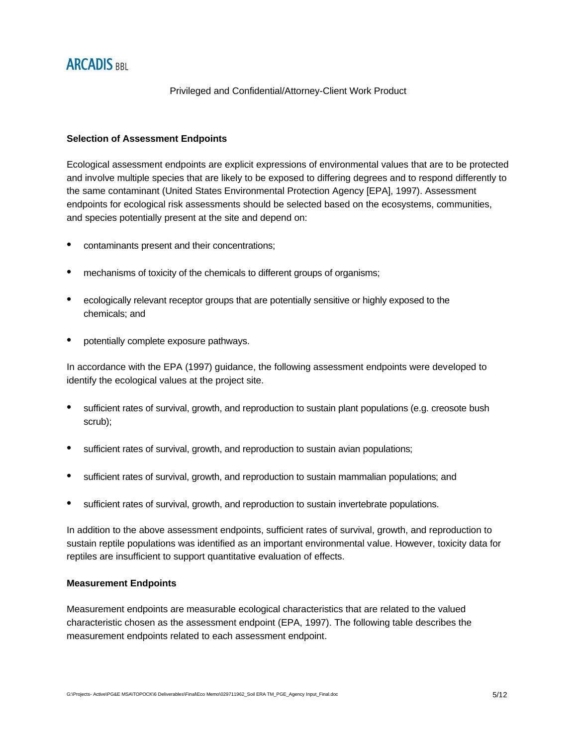### **Selection of Assessment Endpoints**

Ecological assessment endpoints are explicit expressions of environmental values that are to be protected and involve multiple species that are likely to be exposed to differing degrees and to respond differently to the same contaminant (United States Environmental Protection Agency [EPA], 1997). Assessment endpoints for ecological risk assessments should be selected based on the ecosystems, communities, and species potentially present at the site and depend on:

- contaminants present and their concentrations;
- mechanisms of toxicity of the chemicals to different groups of organisms;
- ecologically relevant receptor groups that are potentially sensitive or highly exposed to the chemicals; and
- potentially complete exposure pathways.

In accordance with the EPA (1997) guidance, the following assessment endpoints were developed to identify the ecological values at the project site.

- sufficient rates of survival, growth, and reproduction to sustain plant populations (e.g. creosote bush scrub);
- sufficient rates of survival, growth, and reproduction to sustain avian populations;
- sufficient rates of survival, growth, and reproduction to sustain mammalian populations; and
- sufficient rates of survival, growth, and reproduction to sustain invertebrate populations.

In addition to the above assessment endpoints, sufficient rates of survival, growth, and reproduction to sustain reptile populations was identified as an important environmental value. However, toxicity data for reptiles are insufficient to support quantitative evaluation of effects.

### **Measurement Endpoints**

Measurement endpoints are measurable ecological characteristics that are related to the valued characteristic chosen as the assessment endpoint (EPA, 1997). The following table describes the measurement endpoints related to each assessment endpoint.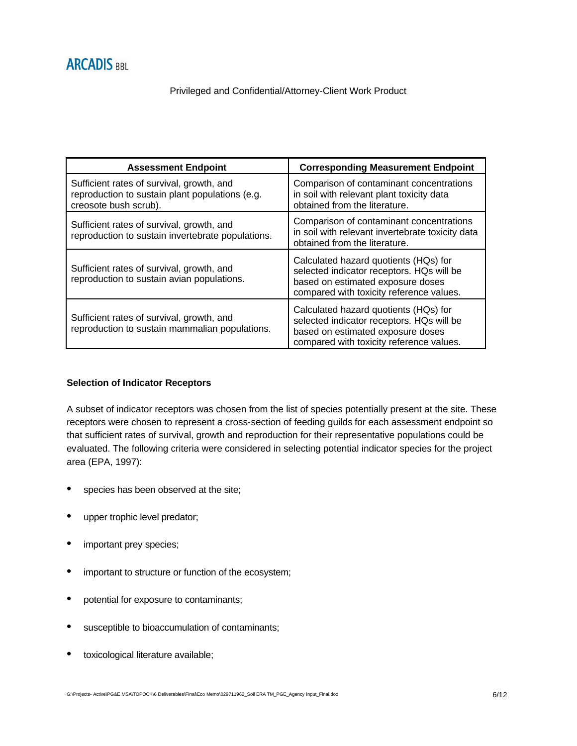| <b>Assessment Endpoint</b>                                                                                            | <b>Corresponding Measurement Endpoint</b>                                                                                                                           |
|-----------------------------------------------------------------------------------------------------------------------|---------------------------------------------------------------------------------------------------------------------------------------------------------------------|
| Sufficient rates of survival, growth, and<br>reproduction to sustain plant populations (e.g.<br>creosote bush scrub). | Comparison of contaminant concentrations<br>in soil with relevant plant toxicity data<br>obtained from the literature.                                              |
| Sufficient rates of survival, growth, and<br>reproduction to sustain invertebrate populations.                        | Comparison of contaminant concentrations<br>in soil with relevant invertebrate toxicity data<br>obtained from the literature.                                       |
| Sufficient rates of survival, growth, and<br>reproduction to sustain avian populations.                               | Calculated hazard quotients (HQs) for<br>selected indicator receptors. HQs will be<br>based on estimated exposure doses<br>compared with toxicity reference values. |
| Sufficient rates of survival, growth, and<br>reproduction to sustain mammalian populations.                           | Calculated hazard quotients (HQs) for<br>selected indicator receptors. HQs will be<br>based on estimated exposure doses<br>compared with toxicity reference values. |

## **Selection of Indicator Receptors**

A subset of indicator receptors was chosen from the list of species potentially present at the site. These receptors were chosen to represent a cross-section of feeding guilds for each assessment endpoint so that sufficient rates of survival, growth and reproduction for their representative populations could be evaluated. The following criteria were considered in selecting potential indicator species for the project area (EPA, 1997):

- species has been observed at the site;
- upper trophic level predator;
- important prey species;
- important to structure or function of the ecosystem;
- potential for exposure to contaminants;
- susceptible to bioaccumulation of contaminants;
- toxicological literature available;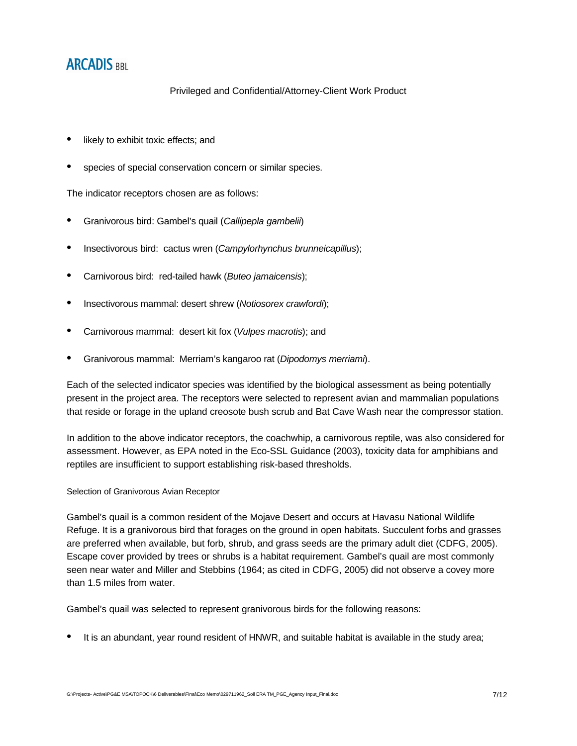# **ARCADIS BBL**

Privileged and Confidential/Attorney-Client Work Product

- likely to exhibit toxic effects; and
- species of special conservation concern or similar species.

The indicator receptors chosen are as follows:

- Granivorous bird: Gambel's quail (*Callipepla gambelii*)
- Insectivorous bird: cactus wren (*Campylorhynchus brunneicapillus*);
- Carnivorous bird: red-tailed hawk (*Buteo jamaicensis*);
- Insectivorous mammal: desert shrew (*Notiosorex crawfordi*);
- Carnivorous mammal: desert kit fox (*Vulpes macrotis*); and
- Granivorous mammal: Merriam's kangaroo rat (*Dipodomys merriami*).

Each of the selected indicator species was identified by the biological assessment as being potentially present in the project area. The receptors were selected to represent avian and mammalian populations that reside or forage in the upland creosote bush scrub and Bat Cave Wash near the compressor station.

In addition to the above indicator receptors, the coachwhip, a carnivorous reptile, was also considered for assessment. However, as EPA noted in the Eco-SSL Guidance (2003), toxicity data for amphibians and reptiles are insufficient to support establishing risk-based thresholds.

### Selection of Granivorous Avian Receptor

Gambel's quail is a common resident of the Mojave Desert and occurs at Havasu National Wildlife Refuge. It is a granivorous bird that forages on the ground in open habitats. Succulent forbs and grasses are preferred when available, but forb, shrub, and grass seeds are the primary adult diet (CDFG, 2005). Escape cover provided by trees or shrubs is a habitat requirement. Gambel's quail are most commonly seen near water and Miller and Stebbins (1964; as cited in CDFG, 2005) did not observe a covey more than 1.5 miles from water.

Gambel's quail was selected to represent granivorous birds for the following reasons:

• It is an abundant, year round resident of HNWR, and suitable habitat is available in the study area;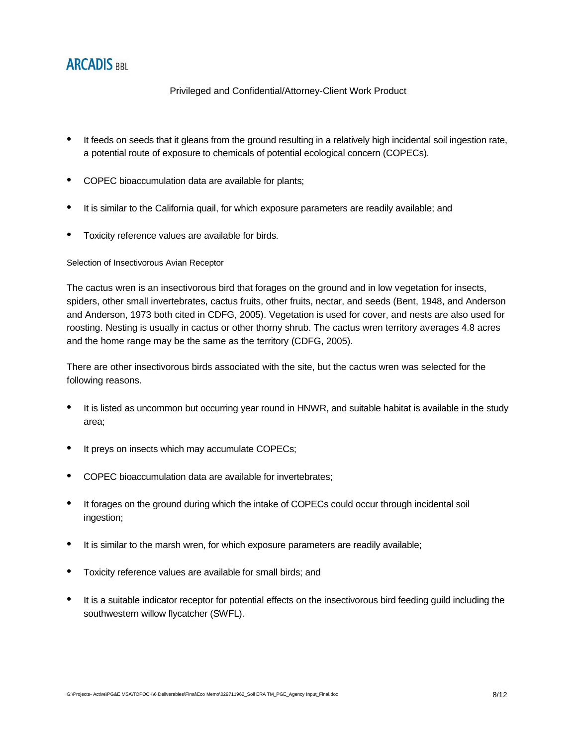# **ARCADIS RRI**

### Privileged and Confidential/Attorney-Client Work Product

- It feeds on seeds that it gleans from the ground resulting in a relatively high incidental soil ingestion rate, a potential route of exposure to chemicals of potential ecological concern (COPECs).
- COPEC bioaccumulation data are available for plants;
- It is similar to the California quail, for which exposure parameters are readily available; and
- Toxicity reference values are available for birds.

### Selection of Insectivorous Avian Receptor

The cactus wren is an insectivorous bird that forages on the ground and in low vegetation for insects, spiders, other small invertebrates, cactus fruits, other fruits, nectar, and seeds (Bent, 1948, and Anderson and Anderson, 1973 both cited in CDFG, 2005). Vegetation is used for cover, and nests are also used for roosting. Nesting is usually in cactus or other thorny shrub. The cactus wren territory averages 4.8 acres and the home range may be the same as the territory (CDFG, 2005).

There are other insectivorous birds associated with the site, but the cactus wren was selected for the following reasons.

- It is listed as uncommon but occurring year round in HNWR, and suitable habitat is available in the study area;
- It preys on insects which may accumulate COPECs;
- COPEC bioaccumulation data are available for invertebrates;
- It forages on the ground during which the intake of COPECs could occur through incidental soil ingestion;
- It is similar to the marsh wren, for which exposure parameters are readily available;
- Toxicity reference values are available for small birds; and
- It is a suitable indicator receptor for potential effects on the insectivorous bird feeding guild including the southwestern willow flycatcher (SWFL).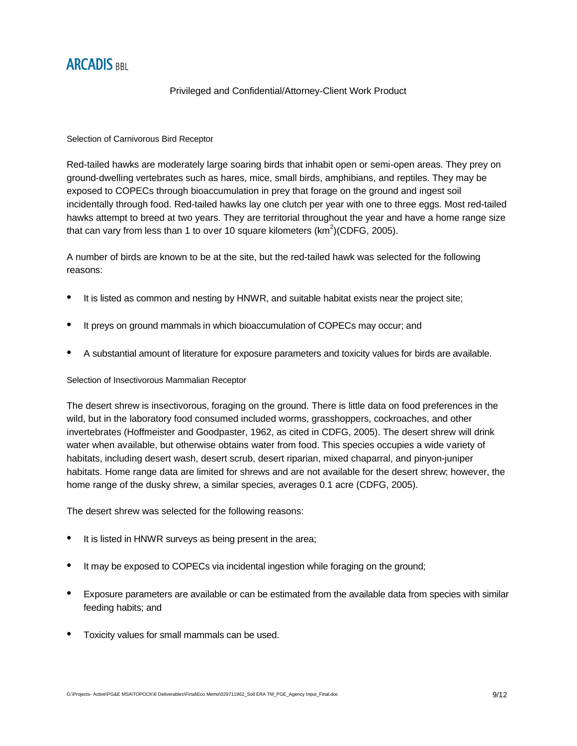

### Selection of Carnivorous Bird Receptor

Red-tailed hawks are moderately large soaring birds that inhabit open or semi-open areas. They prey on ground-dwelling vertebrates such as hares, mice, small birds, amphibians, and reptiles. They may be exposed to COPECs through bioaccumulation in prey that forage on the ground and ingest soil incidentally through food. Red-tailed hawks lay one clutch per year with one to three eggs. Most red-tailed hawks attempt to breed at two years. They are territorial throughout the year and have a home range size that can vary from less than 1 to over 10 square kilometers  $(km^2)(CDFG, 2005)$ .

A number of birds are known to be at the site, but the red-tailed hawk was selected for the following reasons:

- It is listed as common and nesting by HNWR, and suitable habitat exists near the project site;
- It preys on ground mammals in which bioaccumulation of COPECs may occur; and
- A substantial amount of literature for exposure parameters and toxicity values for birds are available.

### Selection of Insectivorous Mammalian Receptor

The desert shrew is insectivorous, foraging on the ground. There is little data on food preferences in the wild, but in the laboratory food consumed included worms, grasshoppers, cockroaches, and other invertebrates (Hoffmeister and Goodpaster, 1962, as cited in CDFG, 2005). The desert shrew will drink water when available, but otherwise obtains water from food. This species occupies a wide variety of habitats, including desert wash, desert scrub, desert riparian, mixed chaparral, and pinyon-juniper habitats. Home range data are limited for shrews and are not available for the desert shrew; however, the home range of the dusky shrew, a similar species, averages 0.1 acre (CDFG, 2005).

The desert shrew was selected for the following reasons:

- It is listed in HNWR surveys as being present in the area;
- It may be exposed to COPECs via incidental ingestion while foraging on the ground;
- Exposure parameters are available or can be estimated from the available data from species with similar feeding habits; and
- Toxicity values for small mammals can be used.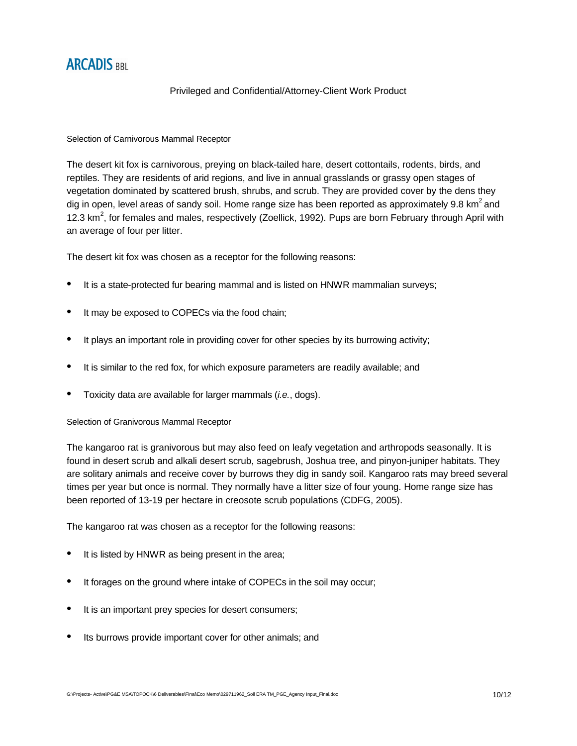

### Selection of Carnivorous Mammal Receptor

The desert kit fox is carnivorous, preying on black-tailed hare, desert cottontails, rodents, birds, and reptiles. They are residents of arid regions, and live in annual grasslands or grassy open stages of vegetation dominated by scattered brush, shrubs, and scrub. They are provided cover by the dens they dig in open, level areas of sandy soil. Home range size has been reported as approximately 9.8 km<sup>2</sup> and 12.3 km<sup>2</sup>, for females and males, respectively (Zoellick, 1992). Pups are born February through April with an average of four per litter.

The desert kit fox was chosen as a receptor for the following reasons:

- It is a state-protected fur bearing mammal and is listed on HNWR mammalian surveys;
- It may be exposed to COPECs via the food chain;
- It plays an important role in providing cover for other species by its burrowing activity;
- It is similar to the red fox, for which exposure parameters are readily available; and
- Toxicity data are available for larger mammals (*i.e.*, dogs).

### Selection of Granivorous Mammal Receptor

The kangaroo rat is granivorous but may also feed on leafy vegetation and arthropods seasonally. It is found in desert scrub and alkali desert scrub, sagebrush, Joshua tree, and pinyon-juniper habitats. They are solitary animals and receive cover by burrows they dig in sandy soil. Kangaroo rats may breed several times per year but once is normal. They normally have a litter size of four young. Home range size has been reported of 13-19 per hectare in creosote scrub populations (CDFG, 2005).

The kangaroo rat was chosen as a receptor for the following reasons:

- It is listed by HNWR as being present in the area;
- It forages on the ground where intake of COPECs in the soil may occur;
- It is an important prey species for desert consumers;
- Its burrows provide important cover for other animals; and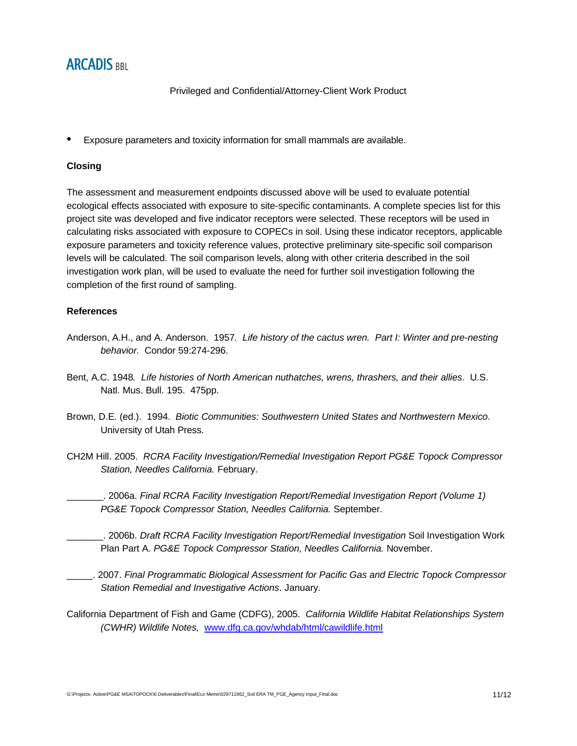# **ARCADIS BBL**

Privileged and Confidential/Attorney-Client Work Product

• Exposure parameters and toxicity information for small mammals are available.

### **Closing**

The assessment and measurement endpoints discussed above will be used to evaluate potential ecological effects associated with exposure to site-specific contaminants. A complete species list for this project site was developed and five indicator receptors were selected. These receptors will be used in calculating risks associated with exposure to COPECs in soil. Using these indicator receptors, applicable exposure parameters and toxicity reference values, protective preliminary site-specific soil comparison levels will be calculated. The soil comparison levels, along with other criteria described in the soil investigation work plan, will be used to evaluate the need for further soil investigation following the completion of the first round of sampling.

### **References**

- Anderson, A.H., and A. Anderson. 1957*. Life history of the cactus wren. Part I: Winter and pre-nesting behavior.* Condor 59:274-296.
- Bent, A.C. 1948*. Life histories of North American nuthatches, wrens, thrashers, and their allies*. U.S. Natl. Mus. Bull. 195. 475pp.
- Brown, D.E. (ed.). 1994. *Biotic Communities: Southwestern United States and Northwestern Mexico*. University of Utah Press.
- CH2M Hill. 2005. *RCRA Facility Investigation/Remedial Investigation Report PG&E Topock Compressor Station, Needles California.* February.
- \_\_\_\_\_\_\_. 2006a. *Final RCRA Facility Investigation Report/Remedial Investigation Report (Volume 1) PG&E Topock Compressor Station, Needles California.* September.
- \_\_\_\_\_\_\_. 2006b. *Draft RCRA Facility Investigation Report/Remedial Investigation* Soil Investigation Work Plan Part A. *PG&E Topock Compressor Station, Needles California.* November.
- \_\_\_\_\_. 2007. *Final Programmatic Biological Assessment for Pacific Gas and Electric Topock Compressor Station Remedial and Investigative Actions*. January.
- California Department of Fish and Game (CDFG), 2005. *California Wildlife Habitat Relationships System (CWHR) Wildlife Notes,* www.dfg.ca.gov/whdab/html/cawildlife.html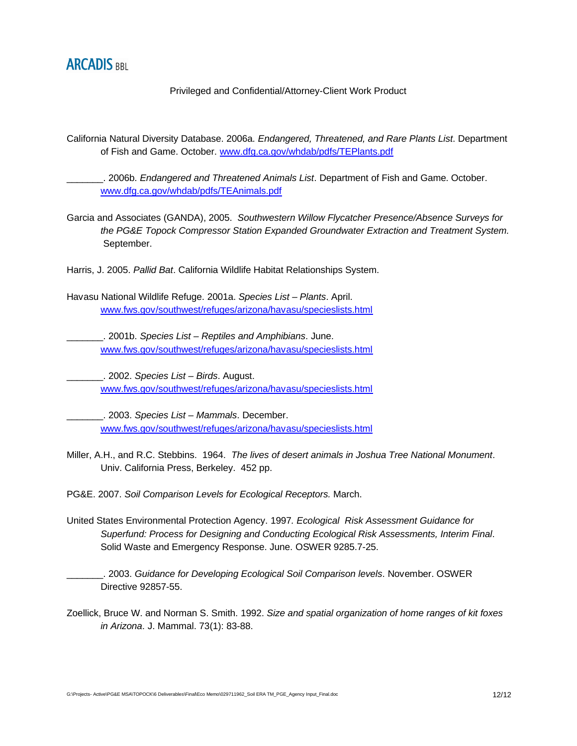

California Natural Diversity Database. 2006a. *Endangered, Threatened, and Rare Plants List*. Department of Fish and Game. October. www.dfg.ca.gov/whdab/pdfs/TEPlants.pdf

\_\_\_\_\_\_\_. 2006b. *Endangered and Threatened Animals List*. Department of Fish and Game. October. www.dfg.ca.gov/whdab/pdfs/TEAnimals.pdf

Garcia and Associates (GANDA), 2005. *Southwestern Willow Flycatcher Presence/Absence Surveys for the PG&E Topock Compressor Station Expanded Groundwater Extraction and Treatment System.*  September.

Harris, J. 2005. *Pallid Bat*. California Wildlife Habitat Relationships System.

Havasu National Wildlife Refuge. 2001a. *Species List – Plants*. April. www.fws.gov/southwest/refuges/arizona/havasu/specieslists.html

\_\_\_\_\_\_\_. 2001b. *Species List – Reptiles and Amphibians*. June. www.fws.gov/southwest/refuges/arizona/havasu/specieslists.html

\_\_\_\_\_\_\_. 2002. *Species List – Birds*. August. www.fws.gov/southwest/refuges/arizona/havasu/specieslists.html

\_\_\_\_\_\_\_. 2003. *Species List – Mammals*. December. www.fws.gov/southwest/refuges/arizona/havasu/specieslists.html

Miller, A.H., and R.C. Stebbins. 1964. *The lives of desert animals in Joshua Tree National Monument*. Univ. California Press, Berkeley. 452 pp.

PG&E. 2007. *Soil Comparison Levels for Ecological Receptors.* March.

United States Environmental Protection Agency. 1997*. Ecological Risk Assessment Guidance for Superfund: Process for Designing and Conducting Ecological Risk Assessments, Interim Final*. Solid Waste and Emergency Response. June. OSWER 9285.7-25.

\_\_\_\_\_\_\_. 2003. *Guidance for Developing Ecological Soil Comparison levels*. November. OSWER Directive 92857-55.

Zoellick, Bruce W. and Norman S. Smith. 1992. *Size and spatial organization of home ranges of kit foxes in Arizona*. J. Mammal. 73(1): 83-88.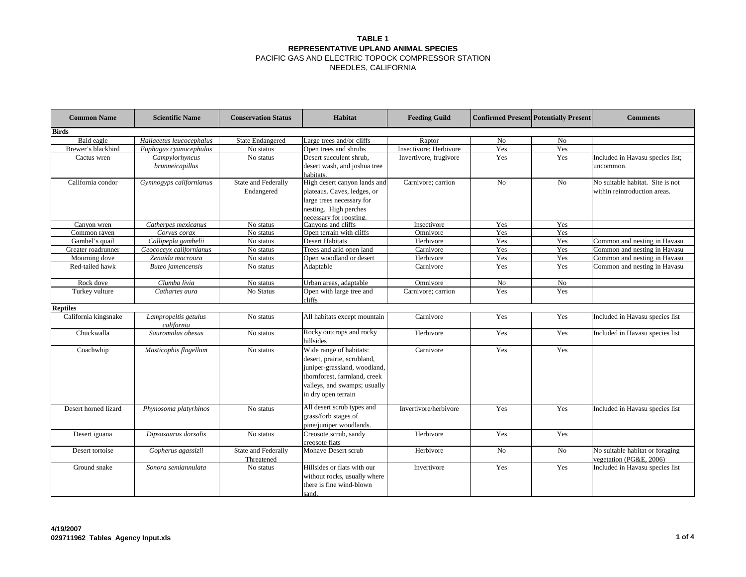#### **TABLE 1 REPRESENTATIVE UPLAND ANIMAL SPECIES** PACIFIC GAS AND ELECTRIC TOPOCK COMPRESSOR STATION

| <b>Common Name</b>   | <b>Scientific Name</b>             | <b>Conservation Status</b> | Habitat                                          | <b>Feeding Guild</b>              | <b>Confirmed Present Potentially Present</b> |                | <b>Comments</b>                  |
|----------------------|------------------------------------|----------------------------|--------------------------------------------------|-----------------------------------|----------------------------------------------|----------------|----------------------------------|
| <b>Birds</b>         |                                    |                            |                                                  |                                   |                                              |                |                                  |
| Bald eagle           | Haliaeetus leucocephalus           | <b>State Endangered</b>    | Large trees and/or cliffs                        | Raptor                            | No                                           | No             |                                  |
| Brewer's blackbird   | Euphagus cyanocephalus             | No status                  | Open trees and shrubs                            | Insectivore; Herbivore            | Yes                                          | Yes            |                                  |
| Cactus wren          | Campylorhyncus                     | No status                  | Desert succulent shrub,                          | Invertivore, frugivore            | Yes                                          | Yes            | Included in Havasu species list; |
|                      | brunneicapillus                    |                            | desert wash, and joshua tree                     |                                   |                                              |                | uncommon.                        |
|                      |                                    |                            | habitats.                                        |                                   |                                              |                |                                  |
| California condor    | Gymnogyps californianus            | State and Federally        | High desert canyon lands and                     | Carnivore; carrion                | N <sub>0</sub>                               | N <sub>0</sub> | No suitable habitat. Site is not |
|                      |                                    | Endangered                 | plateaus. Caves, ledges, or                      |                                   |                                              |                | within reintroduction areas.     |
|                      |                                    |                            | large trees necessary for                        |                                   |                                              |                |                                  |
|                      |                                    |                            | nesting. High perches                            |                                   |                                              |                |                                  |
|                      |                                    |                            | ecessary for roosting                            |                                   |                                              |                |                                  |
| Canvon wren          | Catherpes mexicanus                | No status                  |                                                  | Canvons and cliffs<br>Insectivore |                                              | Yes            |                                  |
| Common raven         | Corvus corax                       | No status                  | Open terrain with cliffs                         | Omnivore                          | Yes                                          | Yes            |                                  |
| Gambel's quail       | Callipepla gambelii                | No status                  | <b>Desert Habitats</b>                           | Herbivore                         | Yes                                          | Yes            | Common and nesting in Havasu     |
| Greater roadrunner   | Geococcyx californianus            | No status                  | Trees and arid open land                         | Carnivore                         | Yes                                          | Yes            | Common and nesting in Havasu     |
| Mourning dove        | Zenaida macroura                   | No status                  | Open woodland or desert                          | Herbivore                         | Yes                                          | Yes            | Common and nesting in Havasu     |
| Red-tailed hawk      | Buteo jamencensis                  | No status                  | Adaptable                                        | Carnivore                         | Yes                                          | Yes            | Common and nesting in Havasu     |
| Rock dove            | Clumba livia                       | No status                  | Urban areas, adaptable                           | Omnivore                          | No                                           | No             |                                  |
| Turkey vulture       | Cathartes aura                     | No Status                  | Open with large tree and<br>diffs:               | Carnivore; carrion                | Yes                                          | Yes            |                                  |
| <b>Reptiles</b>      |                                    |                            |                                                  |                                   |                                              |                |                                  |
| California kingsnake | Lampropeltis getulus<br>california | No status                  | All habitats except mountain                     | Carnivore                         | Yes                                          | Yes            | Included in Havasu species list  |
| Chuckwalla           | Sauromalus obesus                  | No status                  | Rocky outcrops and rocky<br>hillsides            | Herbivore                         | Yes                                          | Yes            | Included in Havasu species list  |
| Coachwhip            | Masticophis flagellum              | No status                  | Wide range of habitats:                          | Carnivore                         | Yes                                          | Yes            |                                  |
|                      |                                    |                            | desert, prairie, scrubland,                      |                                   |                                              |                |                                  |
|                      |                                    |                            | juniper-grassland, woodland,                     |                                   |                                              |                |                                  |
|                      |                                    |                            | thornforest, farmland, creek                     |                                   |                                              |                |                                  |
|                      |                                    |                            | valleys, and swamps; usually                     |                                   |                                              |                |                                  |
|                      |                                    |                            | in dry open terrain                              |                                   |                                              |                |                                  |
|                      |                                    |                            | All desert scrub types and                       |                                   |                                              |                |                                  |
| Desert horned lizard | Phynosoma platyrhinos              | No status                  | grass/forb stages of                             | Invertivore/herbivore             | Yes                                          | Yes            | Included in Havasu species list  |
|                      |                                    |                            |                                                  |                                   |                                              |                |                                  |
|                      |                                    |                            | pine/juniper woodlands.<br>Creosote scrub, sandy | Herbivore                         | Yes                                          | Yes            |                                  |
| Desert iguana        | Dipsosaurus dorsalis               | No status                  |                                                  |                                   |                                              |                |                                  |
| Desert tortoise      | Gopherus agassizii                 | State and Federally        | creosote flats<br>Mohave Desert scrub            | Herbivore                         | N <sub>0</sub>                               | No             | No suitable habitat or foraging  |
|                      |                                    | Threatened                 |                                                  |                                   |                                              |                | vegetation (PG&E, 2006)          |
| Ground snake         | Sonora semiannulata                | No status                  | Hillsides or flats with our                      | Invertivore                       | Yes                                          | Yes            | Included in Havasu species list  |
|                      |                                    |                            | without rocks, usually where                     |                                   |                                              |                |                                  |
|                      |                                    |                            | there is fine wind-blown                         |                                   |                                              |                |                                  |
|                      |                                    |                            | sand.                                            |                                   |                                              |                |                                  |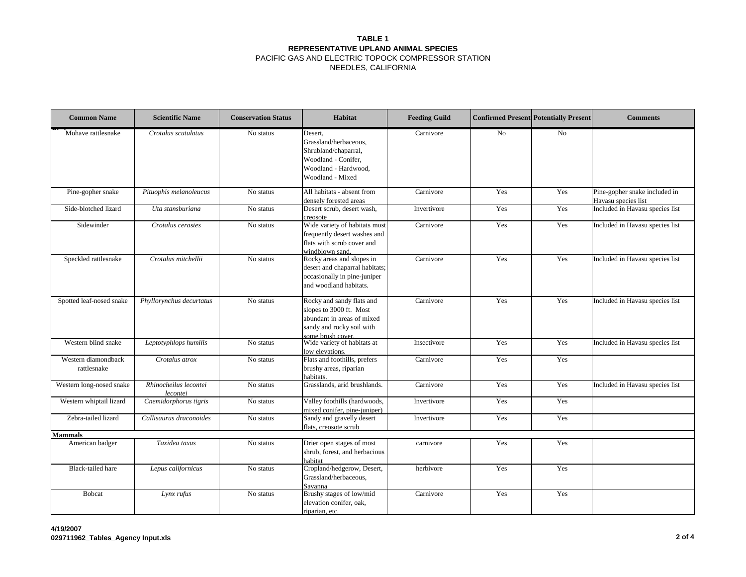#### **TABLE 1 REPRESENTATIVE UPLAND ANIMAL SPECIES** PACIFIC GAS AND ELECTRIC TOPOCK COMPRESSOR STATION

| <b>Common Name</b>                 | <b>Scientific Name</b>            | <b>Conservation Status</b> | Habitat                                                                                                                             | <b>Feeding Guild</b> |     | <b>Confirmed Present Potentially Present</b> | <b>Comments</b>                                      |
|------------------------------------|-----------------------------------|----------------------------|-------------------------------------------------------------------------------------------------------------------------------------|----------------------|-----|----------------------------------------------|------------------------------------------------------|
| Mohave rattlesnake                 | Crotalus scutulatus               | No status                  | Desert,<br>Grassland/herbaceous,<br>Shrubland/chaparral,<br>Woodland - Conifer,<br>Woodland - Hardwood,<br>Woodland - Mixed         | Carnivore            | No  | N <sub>o</sub>                               |                                                      |
| Pine-gopher snake                  | Pituophis melanoleucus            | No status                  | All habitats - absent from<br>densely forested areas                                                                                | Carnivore            | Yes | Yes                                          | Pine-gopher snake included in<br>Havasu species list |
| Side-blotched lizard               | Uta stansburiana                  | No status                  | Desert scrub, desert wash,<br>creosote                                                                                              | Invertivore          | Yes | Yes                                          | Included in Havasu species list                      |
| Sidewinder                         | Crotalus cerastes                 | No status                  | Wide variety of habitats most<br>frequently desert washes and<br>flats with scrub cover and<br>windblown sand.                      | Carnivore            | Yes | Yes                                          | Included in Havasu species list                      |
| Speckled rattlesnake               | Crotalus mitchellii               | No status                  | Rocky areas and slopes in<br>desert and chaparral habitats;<br>occasionally in pine-juniper<br>and woodland habitats.               | Carnivore            | Yes | Yes                                          | Included in Havasu species list                      |
| Spotted leaf-nosed snake           | Phyllorynchus decurtatus          | No status                  | Rocky and sandy flats and<br>slopes to 3000 ft. Most<br>abundant in areas of mixed<br>sandy and rocky soil with<br>some brush cover | Carnivore            | Yes | Yes                                          | Included in Havasu species list                      |
| Western blind snake                | Leptotyphlops humilis             | No status                  | Wide variety of habitats at<br>low elevations.                                                                                      | Insectivore          | Yes | Yes                                          | Included in Havasu species list                      |
| Western diamondback<br>rattlesnake | Crotalus atrox                    | No status                  | Flats and foothills, prefers<br>brushy areas, riparian<br>habitats.                                                                 | Carnivore            | Yes | Yes                                          |                                                      |
| Western long-nosed snake           | Rhinocheilus lecontei<br>lecontei | No status                  | Grasslands, arid brushlands.                                                                                                        | Carnivore            | Yes | Yes                                          | Included in Havasu species list                      |
| Western whiptail lizard            | Cnemidorphorus tigris             | No status                  | Valley foothills (hardwoods,<br>mixed conifer, pine-juniper)                                                                        | Invertivore          | Yes | Yes                                          |                                                      |
| Zebra-tailed lizard                | Callisaurus draconoides           | No status                  | Sandy and gravelly desert<br>flats, creosote scrub                                                                                  | Invertivore          | Yes | Yes                                          |                                                      |
| <b>Mammals</b>                     |                                   |                            |                                                                                                                                     |                      |     |                                              |                                                      |
| American badger                    | Taxidea taxus                     | No status                  | Drier open stages of most<br>shrub, forest, and herbacious<br>habitat                                                               | carnivore            | Yes | Yes                                          |                                                      |
| <b>Black-tailed hare</b>           | Lepus californicus                | No status                  | Cropland/hedgerow, Desert,<br>Grassland/herbaceous,<br>Savanna                                                                      | herbivore            | Yes | Yes                                          |                                                      |
| <b>Bobcat</b>                      | Lynx rufus                        | No status                  | Brushy stages of low/mid<br>elevation conifer, oak,<br>riparian, etc.                                                               | Carnivore            | Yes | Yes                                          |                                                      |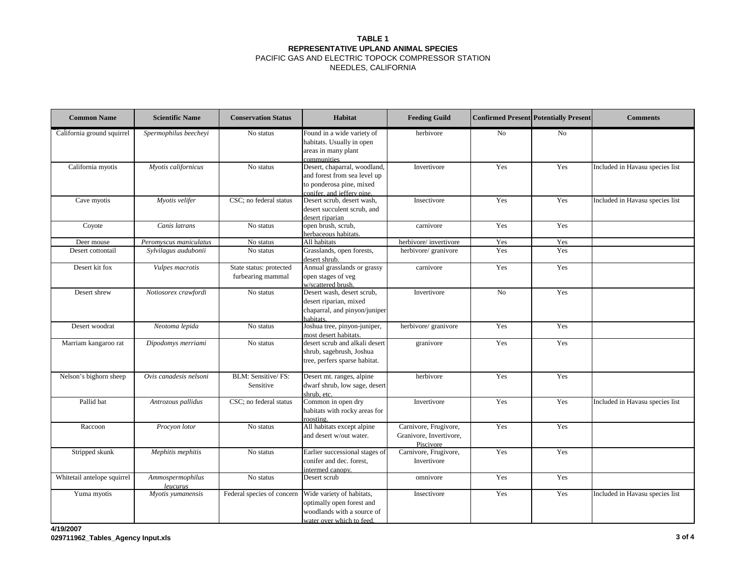#### **TABLE 1 REPRESENTATIVE UPLAND ANIMAL SPECIES** PACIFIC GAS AND ELECTRIC TOPOCK COMPRESSOR STATION

| <b>Common Name</b>          | <b>Scientific Name</b>       | <b>Conservation Status</b>                   | <b>Habitat</b>                                                                                                          | <b>Feeding Guild</b>                                          | <b>Confirmed Present Potentially Present</b> |                                 | <b>Comments</b>                 |
|-----------------------------|------------------------------|----------------------------------------------|-------------------------------------------------------------------------------------------------------------------------|---------------------------------------------------------------|----------------------------------------------|---------------------------------|---------------------------------|
| California ground squirrel  | Spermophilus beecheyi        | No status                                    | Found in a wide variety of<br>habitats. Usually in open<br>areas in many plant<br>communities                           | herbivore                                                     | No                                           | No                              |                                 |
| California myotis           | Myotis californicus          | No status                                    | Desert, chaparral, woodland,<br>and forest from sea level up<br>to ponderosa pine, mixed<br>conifer, and ieffery pine.  | Invertivore                                                   | Yes                                          | Yes                             | Included in Havasu species list |
| Cave myotis                 | Myotis velifer               | CSC; no federal status                       | Desert scrub, desert wash,<br>Yes<br>Insectivore<br>desert succulent scrub, and<br>desert riparian                      |                                                               | Yes                                          | Included in Havasu species list |                                 |
| Coyote                      | Canis latrans                | No status                                    | open brush, scrub,<br>herbaceous habitats.                                                                              | Yes<br>Yes<br>carnivore                                       |                                              |                                 |                                 |
| Deer mouse                  | Peromyscus maniculatus       | No status                                    | All habitats                                                                                                            | herbivore/invertivore                                         | Yes                                          | Yes                             |                                 |
| Desert cottontail           | Sylvilagus audubonii         | No status                                    | Grasslands, open forests,<br>desert shrub.                                                                              | herbivore/ granivore                                          | Yes                                          | Yes                             |                                 |
| Desert kit fox              | Vulpes macrotis              | State status: protected<br>furbearing mammal | Annual grasslands or grassy<br>open stages of veg<br>w/scattered brush.                                                 | carnivore                                                     | Yes                                          | Yes                             |                                 |
| Desert shrew                | Notiosorex crawfordi         | No status                                    | Desert wash, desert scrub,<br>No<br>Invertivore<br>desert riparian, mixed<br>chaparral, and pinyon/juniper<br>habitats. |                                                               | Yes                                          |                                 |                                 |
| Desert woodrat              | Neotoma lepida               | No status                                    | Joshua tree, pinyon-juniper,<br>most desert habitats.                                                                   | herbivore/ granivore                                          | Yes                                          | Yes                             |                                 |
| Marriam kangaroo rat        | Dipodomys merriami           | No status                                    | desert scrub and alkali desert<br>shrub, sagebrush, Joshua<br>tree, perfers sparse habitat.                             | granivore                                                     | Yes                                          | Yes                             |                                 |
| Nelson's bighorn sheep      | Ovis canadesis nelsoni       | BLM: Sensitive/ FS:<br>Sensitive             | Desert mt. ranges, alpine<br>dwarf shrub, low sage, desert<br>shrub, etc.                                               | herbivore                                                     | Yes                                          | Yes                             |                                 |
| Pallid bat                  | Antrozous pallidus           | CSC; no federal status                       | Common in open dry<br>habitats with rocky areas for<br>roosting                                                         | Invertivore                                                   | Yes                                          | Yes                             | Included in Havasu species list |
| Raccoon                     | Procyon lotor                | No status                                    | All habitats except alpine<br>and desert w/out water.                                                                   | Carnivore, Frugivore,<br>Granivore, Invertivore,<br>Piscivore | Yes                                          | Yes                             |                                 |
| Stripped skunk              | Mephitis mephitis            | No status                                    | Earlier successional stages of<br>conifer and dec. forest,<br>intermed canopy.                                          | Carnivore, Frugivore,<br>Invertivore                          | Yes                                          | Yes                             |                                 |
| Whitetail antelope squirrel | Ammospermophilus<br>leucurus | No status                                    | Desert scrub                                                                                                            | omnivore                                                      | Yes                                          | Yes                             |                                 |
| Yuma myotis                 | Myotis yumanensis            | Federal species of concern                   | Wide variety of habitats,<br>optimally open forest and<br>woodlands with a source of<br>water over which to feed.       | Insectivore                                                   | Yes                                          | Yes                             | Included in Havasu species list |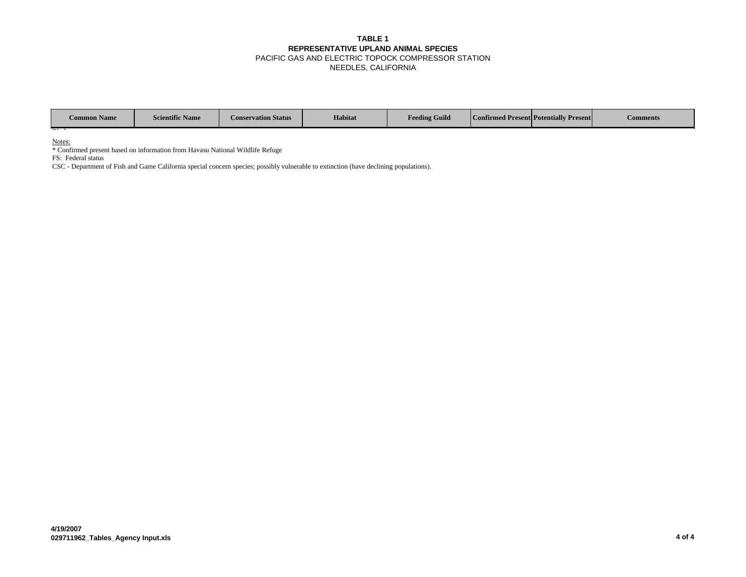#### **TABLE 1 REPRESENTATIVE UPLAND ANIMAL SPECIES** PACIFIC GAS AND ELECTRIC TOPOCK COMPRESSOR STATION NEEDLES, CALIFORNIA

| <b>Common Name</b> | <b>Scientific Name</b> | <b>Conservation Status</b> | Habitat | <b>Feeding Guild</b> | Confirmed Present Potentially Present | Comments |
|--------------------|------------------------|----------------------------|---------|----------------------|---------------------------------------|----------|
| $-1$               |                        |                            |         |                      |                                       |          |

Notes:

\* Confirmed present based on information from Havasu National Wildlife Refuge

FS: Federal status

CSC - Department of Fish and Game California special concern species; possibly vulnerable to extinction (have declining populations).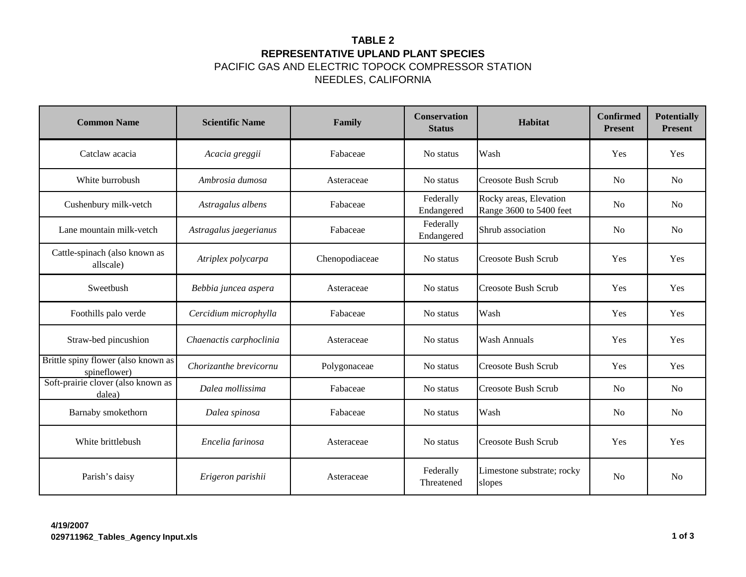# **TABLE 2 REPRESENTATIVE UPLAND PLANT SPECIES**

PACIFIC GAS AND ELECTRIC TOPOCK COMPRESSOR STATION NEEDLES, CALIFORNIA

| <b>Common Name</b>                                  | <b>Scientific Name</b>  | Family         | <b>Conservation</b><br><b>Status</b> | Habitat                                           | Confirmed<br><b>Present</b> | <b>Potentially</b><br><b>Present</b> |
|-----------------------------------------------------|-------------------------|----------------|--------------------------------------|---------------------------------------------------|-----------------------------|--------------------------------------|
| Catclaw acacia                                      | Acacia greggii          | Fabaceae       | No status                            | Wash                                              | Yes                         | Yes                                  |
| White burrobush                                     | Ambrosia dumosa         | Asteraceae     | No status                            | <b>Creosote Bush Scrub</b>                        | N <sub>0</sub>              | N <sub>0</sub>                       |
| Cushenbury milk-vetch                               | Astragalus albens       | Fabaceae       | Federally<br>Endangered              | Rocky areas, Elevation<br>Range 3600 to 5400 feet | N <sub>0</sub>              | N <sub>o</sub>                       |
| Lane mountain milk-vetch                            | Astragalus jaegerianus  | Fabaceae       | Federally<br>Endangered              | Shrub association                                 |                             | N <sub>o</sub>                       |
| Cattle-spinach (also known as<br>allscale)          | Atriplex polycarpa      | Chenopodiaceae | No status                            | Creosote Bush Scrub                               |                             | Yes                                  |
| Sweetbush                                           | Bebbia juncea aspera    | Asteraceae     | No status                            | <b>Creosote Bush Scrub</b>                        | Yes                         | Yes                                  |
| Foothills palo verde                                | Cercidium microphylla   | Fabaceae       | No status                            | Wash                                              | Yes                         | Yes                                  |
| Straw-bed pincushion                                | Chaenactis carphoclinia | Asteraceae     | No status                            | <b>Wash Annuals</b>                               | Yes                         | Yes                                  |
| Brittle spiny flower (also known as<br>spineflower) | Chorizanthe brevicornu  | Polygonaceae   | No status                            | <b>Creosote Bush Scrub</b>                        | Yes                         | Yes                                  |
| Soft-prairie clover (also known as<br>dalea)        | Dalea mollissima        | Fabaceae       | No status                            | <b>Creosote Bush Scrub</b>                        | N <sub>0</sub>              | N <sub>o</sub>                       |
| Barnaby smokethorn                                  | Dalea spinosa           | Fabaceae       | No status                            | Wash                                              | N <sub>o</sub>              | <b>No</b>                            |
| White brittlebush                                   | Encelia farinosa        | Asteraceae     | No status                            | <b>Creosote Bush Scrub</b>                        |                             | Yes                                  |
| Parish's daisy                                      | Erigeron parishii       | Asteraceae     | Federally<br>Threatened              | Limestone substrate; rocky<br>slopes              | N <sub>0</sub>              | N <sub>o</sub>                       |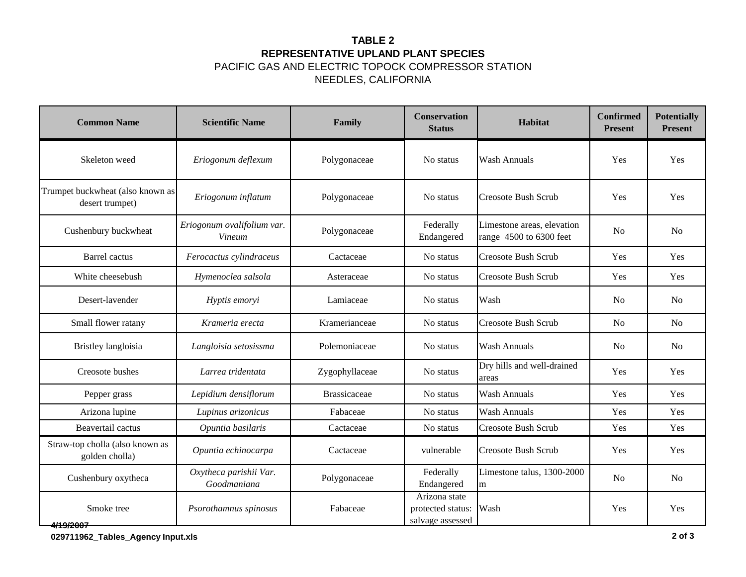# **TABLE 2 REPRESENTATIVE UPLAND PLANT SPECIES**

PACIFIC GAS AND ELECTRIC TOPOCK COMPRESSOR STATION NEEDLES, CALIFORNIA

| <b>Common Name</b>                                  | <b>Scientific Name</b>                      | Family              | <b>Conservation</b><br><b>Status</b>                   | <b>Habitat</b>                                        | <b>Confirmed</b><br><b>Present</b> | <b>Potentially</b><br><b>Present</b> |
|-----------------------------------------------------|---------------------------------------------|---------------------|--------------------------------------------------------|-------------------------------------------------------|------------------------------------|--------------------------------------|
| Skeleton weed                                       | Eriogonum deflexum                          | Polygonaceae        | No status                                              | <b>Wash Annuals</b>                                   | Yes                                | Yes                                  |
| Trumpet buckwheat (also known as<br>desert trumpet) | Eriogonum inflatum                          | Polygonaceae        | No status                                              | <b>Creosote Bush Scrub</b>                            | Yes                                | Yes                                  |
| Cushenbury buckwheat                                | Eriogonum ovalifolium var.<br><b>Vineum</b> | Polygonaceae        | Federally<br>Endangered                                | Limestone areas, elevation<br>range 4500 to 6300 feet |                                    | <b>No</b>                            |
| <b>Barrel</b> cactus                                | Ferocactus cylindraceus                     | Cactaceae           | No status                                              | <b>Creosote Bush Scrub</b>                            |                                    | Yes                                  |
| White cheesebush                                    | Hymenoclea salsola                          | Asteraceae          | No status                                              | Creosote Bush Scrub                                   |                                    | Yes                                  |
| Desert-lavender                                     | Hyptis emoryi                               | Lamiaceae           | No status                                              | Wash                                                  |                                    | <b>No</b>                            |
| Small flower ratany                                 | Krameria erecta                             | Kramerianceae       | No status                                              | Creosote Bush Scrub                                   |                                    | <b>No</b>                            |
| Bristley langloisia                                 | Langloisia setosissma                       | Polemoniaceae       | No status                                              | <b>Wash Annuals</b>                                   | N <sub>o</sub>                     | N <sub>o</sub>                       |
| Creosote bushes                                     | Larrea tridentata                           | Zygophyllaceae      | No status                                              | Dry hills and well-drained<br>areas                   | Yes                                | Yes                                  |
| Pepper grass                                        | Lepidium densiflorum                        | <b>Brassicaceae</b> | No status                                              | <b>Wash Annuals</b>                                   | Yes                                | Yes                                  |
| Arizona lupine                                      | Lupinus arizonicus                          | Fabaceae            | No status                                              | Wash Annuals                                          | Yes                                | Yes                                  |
| Beavertail cactus                                   | Opuntia basilaris                           | Cactaceae           | No status                                              | <b>Creosote Bush Scrub</b>                            | Yes                                | Yes                                  |
| Straw-top cholla (also known as<br>golden cholla)   | Opuntia echinocarpa                         | Cactaceae           | vulnerable                                             | <b>Creosote Bush Scrub</b>                            | Yes                                | Yes                                  |
| Cushenbury oxytheca                                 | Oxytheca parishii Var.<br>Goodmaniana       | Polygonaceae        | Federally<br>Endangered                                | Limestone talus, 1300-2000<br>m                       |                                    | <b>No</b>                            |
| Smoke tree<br><del>4/19/2007</del>                  | Psorothamnus spinosus                       | Fabaceae            | Arizona state<br>protected status:<br>salvage assessed | Wash                                                  | Yes                                | Yes                                  |

**029711962\_Tables\_Agency Input.xls 2 of 3**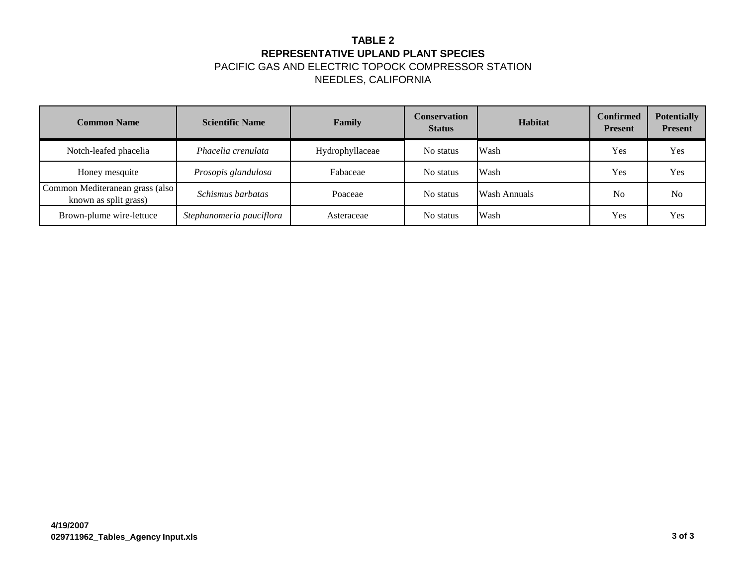# **TABLE 2 REPRESENTATIVE UPLAND PLANT SPECIES** PACIFIC GAS AND ELECTRIC TOPOCK COMPRESSOR STATION

| <b>Common Name</b>                                       | <b>Scientific Name</b>   | Family          | Conservation<br><b>Status</b> | <b>Habitat</b>      | <b>Confirmed</b><br><b>Present</b> | <b>Potentially</b><br><b>Present</b> |
|----------------------------------------------------------|--------------------------|-----------------|-------------------------------|---------------------|------------------------------------|--------------------------------------|
| Notch-leafed phacelia                                    | Phacelia crenulata       | Hydrophyllaceae | No status                     | Wash                | Yes                                | Yes                                  |
| Honey mesquite                                           | Prosopis glandulosa      | Fabaceae        | No status                     | Wash                | Yes                                | Yes                                  |
| Common Mediteranean grass (also<br>known as split grass) | Schismus barbatas        | Poaceae         | No status                     | <b>Wash Annuals</b> | N <sub>o</sub>                     | N <sub>o</sub>                       |
| Brown-plume wire-lettuce                                 | Stephanomeria pauciflora | Asteraceae      | No status                     | Wash                | Yes                                | Yes                                  |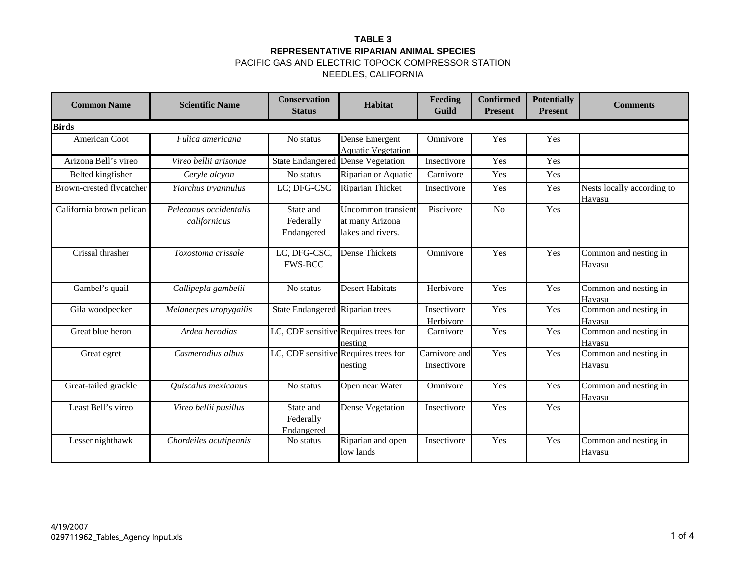| <b>Common Name</b>       | <b>Scientific Name</b>                 | <b>Conservation</b><br><b>Status</b> | <b>Habitat</b>                                             | Feeding<br>Guild             | <b>Confirmed</b><br><b>Present</b> | <b>Potentially</b><br><b>Present</b> | <b>Comments</b>                      |
|--------------------------|----------------------------------------|--------------------------------------|------------------------------------------------------------|------------------------------|------------------------------------|--------------------------------------|--------------------------------------|
| <b>Birds</b>             |                                        |                                      |                                                            |                              |                                    |                                      |                                      |
| American Coot            | Fulica americana                       | No status                            | Dense Emergent<br><b>Aquatic Vegetation</b>                | Omnivore                     | Yes                                | Yes                                  |                                      |
| Arizona Bell's vireo     | Vireo bellii arisonae                  | <b>State Endangered</b>              | <b>Dense Vegetation</b>                                    | Insectivore                  | Yes                                | Yes                                  |                                      |
| Belted kingfisher        | Ceryle alcyon                          | No status                            | Riparian or Aquatic                                        | Carnivore                    | Yes                                | Yes                                  |                                      |
| Brown-crested flycatcher | Yiarchus tryannulus                    | LC; DFG-CSC                          | Riparian Thicket                                           | Insectivore                  | Yes                                | Yes                                  | Nests locally according to<br>Havasu |
| California brown pelican | Pelecanus occidentalis<br>californicus | State and<br>Federally<br>Endangered | Uncommon transient<br>at many Arizona<br>lakes and rivers. | Piscivore                    | N <sub>o</sub>                     | Yes                                  |                                      |
| Crissal thrasher         | Toxostoma crissale                     | LC, DFG-CSC,<br><b>FWS-BCC</b>       | Dense Thickets                                             | Omnivore                     | Yes                                | Yes                                  | Common and nesting in<br>Havasu      |
| Gambel's quail           | Callipepla gambelii                    | No status                            | <b>Desert Habitats</b>                                     | Herbivore                    | Yes                                | Yes                                  | Common and nesting in<br>Havasu      |
| Gila woodpecker          | Melanerpes uropygailis                 | State Endangered Riparian trees      |                                                            | Insectivore<br>Herbivore     | Yes                                | Yes                                  | Common and nesting in<br>Havasu      |
| Great blue heron         | Ardea herodias                         |                                      | LC, CDF sensitive Requires trees for<br>nesting            | Carnivore                    | Yes                                | Yes                                  | Common and nesting in<br>Havasu      |
| Great egret              | Casmerodius albus                      |                                      | LC, CDF sensitive Requires trees for<br>nesting            | Carnivore and<br>Insectivore | Yes                                | Yes                                  | Common and nesting in<br>Havasu      |
| Great-tailed grackle     | Quiscalus mexicanus                    | No status                            | Open near Water                                            | Omnivore                     | Yes                                | Yes                                  | Common and nesting in<br>Havasu      |
| Least Bell's vireo       | Vireo bellii pusillus                  | State and<br>Federally<br>Endangered | Dense Vegetation                                           | Insectivore                  | Yes                                | Yes                                  |                                      |
| Lesser nighthawk         | Chordeiles acutipennis                 | No status                            | Riparian and open<br>low lands                             | Insectivore                  | Yes                                | Yes                                  | Common and nesting in<br>Havasu      |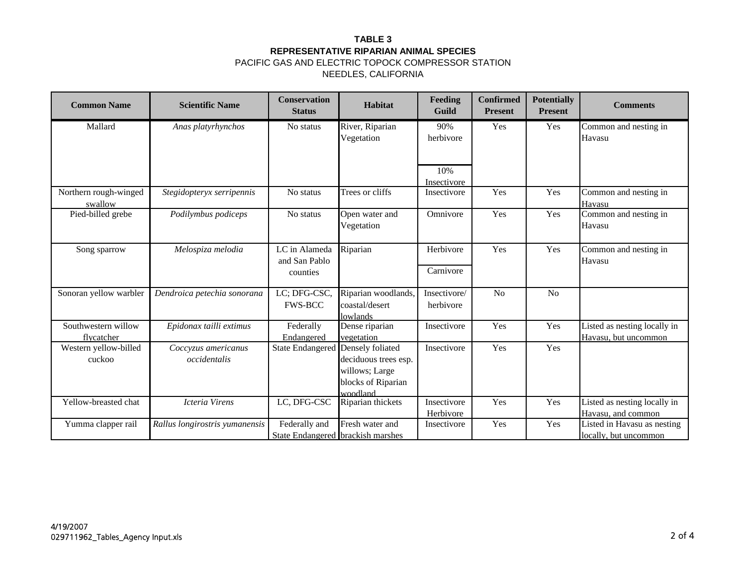| <b>Common Name</b>                | <b>Scientific Name</b>              | <b>Conservation</b><br><b>Status</b>       | <b>Habitat</b>                                                           | <b>Feeding</b><br>Guild   | <b>Confirmed</b><br><b>Present</b> | <b>Potentially</b><br><b>Present</b> | <b>Comments</b>                                      |
|-----------------------------------|-------------------------------------|--------------------------------------------|--------------------------------------------------------------------------|---------------------------|------------------------------------|--------------------------------------|------------------------------------------------------|
| Mallard                           | Anas platyrhynchos                  | No status                                  | River, Riparian<br>Vegetation                                            | 90%<br>herbivore          | Yes                                | Yes                                  | Common and nesting in<br>Havasu                      |
|                                   |                                     |                                            |                                                                          | 10%<br>Insectivore        |                                    |                                      |                                                      |
| Northern rough-winged<br>swallow  | Stegidopteryx serripennis           | No status                                  | Trees or cliffs                                                          | Insectivore               | Yes                                | Yes                                  | Common and nesting in<br>Havasu                      |
| Pied-billed grebe                 | Podilymbus podiceps                 | No status                                  | Open water and<br>Vegetation                                             | Omnivore                  | Yes                                | Yes                                  | Common and nesting in<br>Havasu                      |
| Song sparrow                      | Melospiza melodia                   | LC in Alameda<br>and San Pablo<br>counties | Riparian                                                                 | Herbivore<br>Carnivore    | Yes                                | Yes                                  | Common and nesting in<br>Havasu                      |
| Sonoran yellow warbler            | Dendroica petechia sonorana         | LC; DFG-CSC,<br><b>FWS-BCC</b>             | Riparian woodlands,<br>coastal/desert<br>lowlands                        | Insectivore/<br>herbivore | N <sub>o</sub>                     | N <sub>o</sub>                       |                                                      |
| Southwestern willow<br>flycatcher | Epidonax tailli extimus             | Federally<br>Endangered                    | Dense riparian<br>vegetation                                             | Insectivore               | Yes                                | Yes                                  | Listed as nesting locally in<br>Havasu, but uncommon |
| Western yellow-billed<br>cuckoo   | Coccyzus americanus<br>occidentalis | State Endangered Densely foliated          | deciduous trees esp.<br>willows; Large<br>blocks of Riparian<br>woodland | Insectivore               | Yes                                | Yes                                  |                                                      |
| Yellow-breasted chat              | Icteria Virens                      | LC, DFG-CSC                                | Riparian thickets                                                        | Insectivore<br>Herbivore  | Yes                                | Yes                                  | Listed as nesting locally in<br>Havasu, and common   |
| Yumma clapper rail                | Rallus longirostris yumanensis      | Federally and                              | Fresh water and<br>State Endangered brackish marshes                     | Insectivore               | Yes                                | Yes                                  | Listed in Havasu as nesting<br>locally, but uncommon |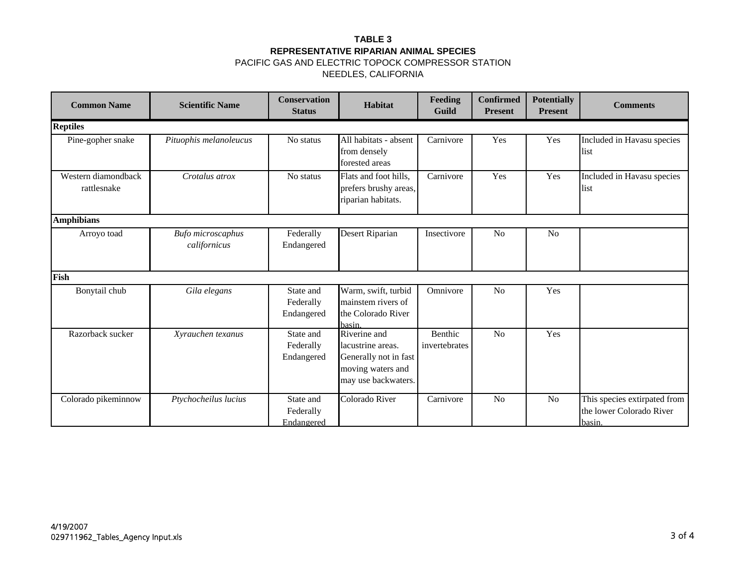| <b>Common Name</b>                 | <b>Scientific Name</b>            | <b>Conservation</b><br><b>Status</b> | Habitat                                                                                                | Feeding<br>Guild         | Confirmed<br><b>Present</b> | <b>Potentially</b><br><b>Present</b> | <b>Comments</b>                                                    |
|------------------------------------|-----------------------------------|--------------------------------------|--------------------------------------------------------------------------------------------------------|--------------------------|-----------------------------|--------------------------------------|--------------------------------------------------------------------|
| <b>Reptiles</b>                    |                                   |                                      |                                                                                                        |                          |                             |                                      |                                                                    |
| Pine-gopher snake                  | Pituophis melanoleucus            | No status                            | All habitats - absent<br>from densely<br>forested areas                                                | Carnivore                | Yes                         | Yes                                  | Included in Havasu species<br>list                                 |
| Western diamondback<br>rattlesnake | Crotalus atrox                    | No status                            | Flats and foot hills,<br>prefers brushy areas,<br>riparian habitats.                                   | Carnivore                | Yes                         | Yes                                  | Included in Havasu species<br>list                                 |
| <b>Amphibians</b>                  |                                   |                                      |                                                                                                        |                          |                             |                                      |                                                                    |
| Arroyo toad                        | Bufo microscaphus<br>californicus | Federally<br>Endangered              | Desert Riparian                                                                                        | Insectivore              | N <sub>0</sub>              | N <sub>o</sub>                       |                                                                    |
| Fish                               |                                   |                                      |                                                                                                        |                          |                             |                                      |                                                                    |
| Bonytail chub                      | Gila elegans                      | State and<br>Federally<br>Endangered | Warm, swift, turbid<br>mainstem rivers of<br>the Colorado River<br><b>hasin</b>                        | Omnivore                 | No                          | Yes                                  |                                                                    |
| Razorback sucker                   | Xyrauchen texanus                 | State and<br>Federally<br>Endangered | Riverine and<br>lacustrine areas.<br>Generally not in fast<br>moving waters and<br>may use backwaters. | Benthic<br>invertebrates | N <sub>o</sub>              | Yes                                  |                                                                    |
| Colorado pikeminnow                | Ptychocheilus lucius              | State and<br>Federally<br>Endangered | Colorado River                                                                                         | Carnivore                | N <sub>o</sub>              | N <sub>o</sub>                       | This species extirpated from<br>the lower Colorado River<br>basin. |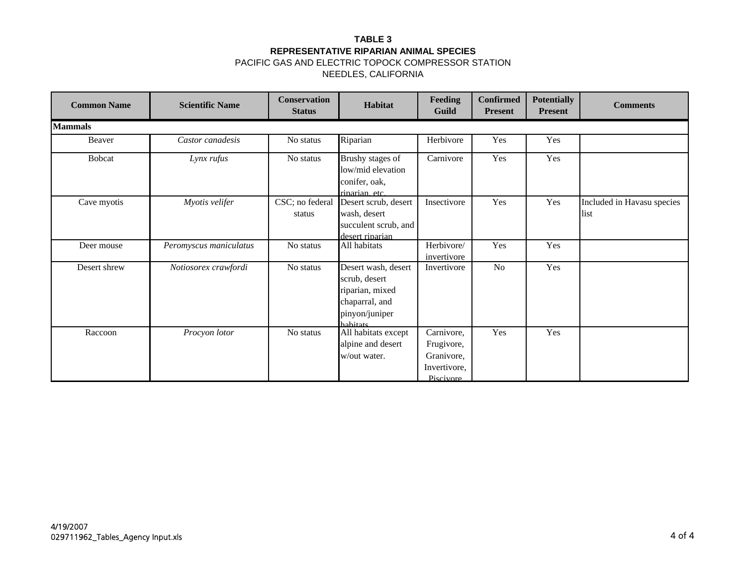| <b>Common Name</b> | <b>Scientific Name</b> | <b>Conservation</b><br><b>Status</b> | Habitat                                                                                                 | Feeding<br>Guild                                                    | <b>Confirmed</b><br><b>Present</b> | <b>Potentially</b><br><b>Present</b> | <b>Comments</b>                    |
|--------------------|------------------------|--------------------------------------|---------------------------------------------------------------------------------------------------------|---------------------------------------------------------------------|------------------------------------|--------------------------------------|------------------------------------|
| <b>Mammals</b>     |                        |                                      |                                                                                                         |                                                                     |                                    |                                      |                                    |
| Beaver             | Castor canadesis       | No status                            | Riparian                                                                                                | Herbivore                                                           | Yes                                | Yes                                  |                                    |
| <b>Bobcat</b>      | Lynx rufus             | No status                            | Brushy stages of<br>low/mid elevation<br>conifer, oak,<br>riparian, etc.                                | Carnivore                                                           | Yes                                | Yes                                  |                                    |
| Cave myotis        | Myotis velifer         | CSC; no federal<br>status            | Desert scrub, desert<br>wash, desert<br>succulent scrub, and<br>desert riparian                         | Insectivore                                                         | Yes                                | Yes                                  | Included in Havasu species<br>list |
| Deer mouse         | Peromyscus maniculatus | No status                            | All habitats                                                                                            | Herbivore/<br>invertivore                                           | Yes                                | Yes                                  |                                    |
| Desert shrew       | Notiosorex crawfordi   | No status                            | Desert wash, desert<br>scrub, desert<br>riparian, mixed<br>chaparral, and<br>pinyon/juniper<br>habitate | Invertivore                                                         | N <sub>o</sub>                     | Yes                                  |                                    |
| Raccoon            | Procyon lotor          | No status                            | All habitats except<br>alpine and desert<br>w/out water.                                                | Carnivore,<br>Frugivore,<br>Granivore,<br>Invertivore,<br>Piscivore | Yes                                | Yes                                  |                                    |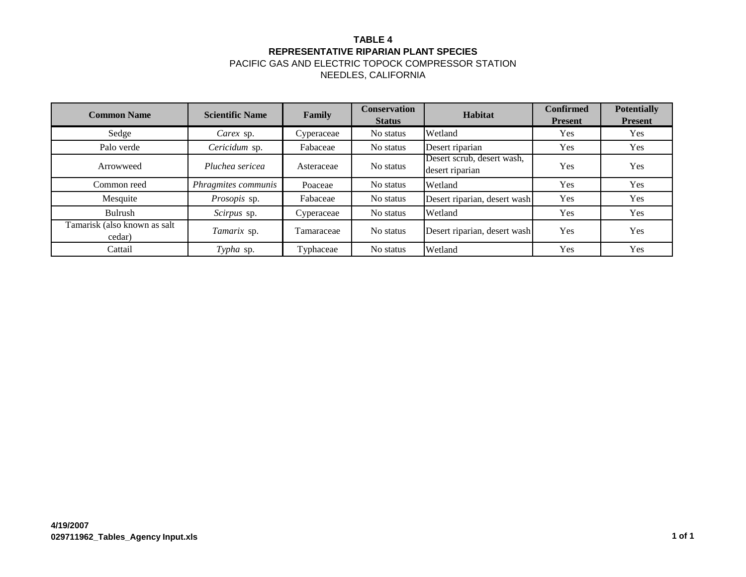# **TABLE 4 REPRESENTATIVE RIPARIAN PLANT SPECIES**

| <b>Common Name</b>                     | <b>Scientific Name</b> | Family     | <b>Conservation</b><br><b>Status</b> | Habitat                                       | <b>Confirmed</b><br><b>Present</b> | <b>Potentially</b><br><b>Present</b> |
|----------------------------------------|------------------------|------------|--------------------------------------|-----------------------------------------------|------------------------------------|--------------------------------------|
| Sedge                                  | Carex sp.              | Cyperaceae | No status                            | Wetland                                       | Yes                                | <b>Yes</b>                           |
| Palo verde                             | Cericidum sp.          | Fabaceae   | No status                            | Desert riparian                               | Yes                                | Yes                                  |
| Arrowweed                              | Pluchea sericea        | Asteraceae | No status                            | Desert scrub, desert wash,<br>desert riparian | Yes                                | Yes                                  |
| Common reed                            | Phragmites communis    | Poaceae    | No status                            | Wetland                                       | Yes                                | Yes                                  |
| Mesquite                               | Prosopis sp.           | Fabaceae   | No status                            | Desert riparian, desert wash                  | Yes                                | Yes                                  |
| Bulrush                                | Scirpus sp.            | Cyperaceae | No status                            | Wetland                                       | Yes                                | Yes                                  |
| Tamarisk (also known as salt<br>cedar) | Tamarix sp.            | Tamaraceae | No status                            | Desert riparian, desert wash                  | Yes                                | Yes                                  |
| Cattail                                | Typha sp.              | Typhaceae  | No status                            | Wetland                                       | Yes                                | Yes                                  |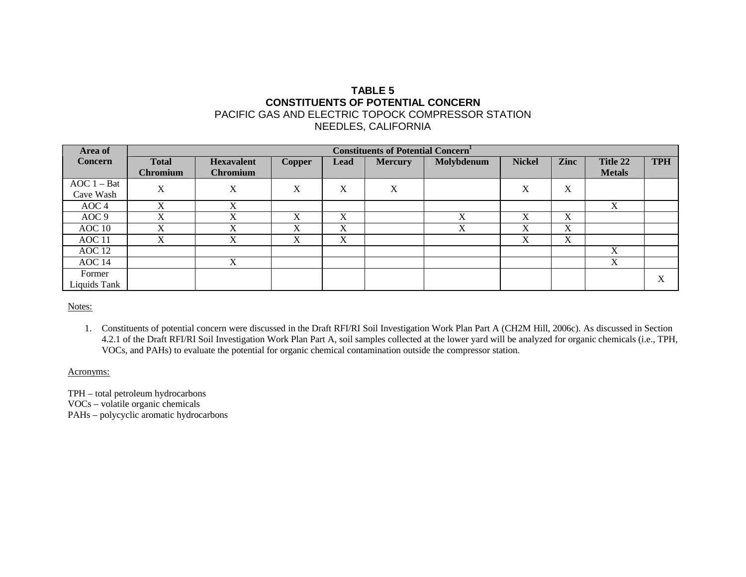## **TABLE 5 CONSTITUENTS OF POTENTIAL CONCERN** PACIFIC GAS AND ELECTRIC TOPOCK COMPRESSOR STATION NEEDLES, CALIFORNIA

| Area of          | <b>Constituents of Potential Concern</b> |                   |               |      |                |            |               |      |               |            |
|------------------|------------------------------------------|-------------------|---------------|------|----------------|------------|---------------|------|---------------|------------|
| Concern          | <b>Total</b>                             | <b>Hexavalent</b> | <b>Copper</b> | Lead | <b>Mercury</b> | Molybdenum | <b>Nickel</b> | Zinc | Title 22      | <b>TPH</b> |
|                  | <b>Chromium</b>                          | <b>Chromium</b>   |               |      |                |            |               |      | <b>Metals</b> |            |
| $AOC 1 - Bat$    | X                                        | X                 | X             | X    | X              |            | X             | X    |               |            |
| Cave Wash        |                                          |                   |               |      |                |            |               |      |               |            |
| AOC 4            | X                                        | X                 |               |      |                |            |               |      | X             |            |
| AOC <sub>9</sub> |                                          | X                 | X             | X    |                | X          | X             | X    |               |            |
| AOC10            | X                                        | X                 | X             | X    |                | X          | X             | X    |               |            |
| AOC 11           | X                                        | X                 | X             | X    |                |            | X             | X    |               |            |
| AOC 12           |                                          |                   |               |      |                |            |               |      | X             |            |
| AOC 14           |                                          | X                 |               |      |                |            |               |      | X             |            |
| Former           |                                          |                   |               |      |                |            |               |      |               | X          |
| Liquids Tank     |                                          |                   |               |      |                |            |               |      |               |            |

Notes:

1. Constituents of potential concern were discussed in the Draft RFI/RI Soil Investigation Work Plan Part A (CH2M Hill, 2006c). As discussed in Section 4.2.1 of the Draft RFI/RI Soil Investigation Work Plan Part A, soil samples collected at the lower yard will be analyzed for organic chemicals (i.e., TPH, VOCs, and PAHs) to evaluate the potential for organic chemical contamination outside the compressor station.

Acronyms:

TPH – total petroleum hydrocarbons VOCs – volatile organic chemicals PAHs – polycyclic aromatic hydrocarbons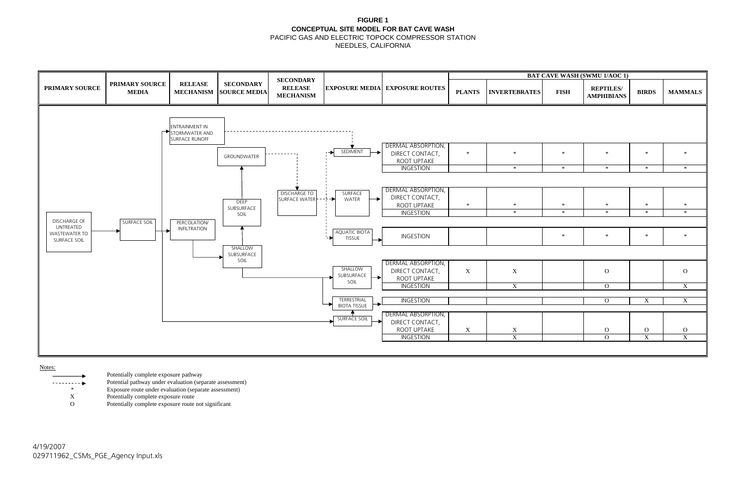## **FIGURE 1 CONCEPTUAL SITE MODEL FOR BAT CAVE WASH** PACIFIC GAS AND ELECTRIC TOPOCK COMPRESSOR STATION

NEEDLES, CALIFORNIA

| <b>BAT CAVE WASH (SWMU 1/AOC 1)</b> |                       |             |                                       |                         |                         |  |  |  |
|-------------------------------------|-----------------------|-------------|---------------------------------------|-------------------------|-------------------------|--|--|--|
| <b>INTS</b>                         | <b>INVERTEBRATES</b>  | <b>FISH</b> | <b>REPTILES/</b><br><b>AMPHIBIANS</b> | <b>BIRDS</b>            | <b>MAMMALS</b>          |  |  |  |
|                                     |                       |             |                                       |                         |                         |  |  |  |
|                                     |                       |             |                                       |                         |                         |  |  |  |
|                                     |                       |             |                                       |                         |                         |  |  |  |
| $\ast$                              | $\ast$                | $\ast$      | $\ast$                                | $\ast$                  | $\ast$                  |  |  |  |
|                                     |                       |             |                                       |                         |                         |  |  |  |
|                                     | $\ast$                | $\ast$      | $\ast$                                | $\ast$                  | $\ast$                  |  |  |  |
|                                     |                       |             |                                       |                         |                         |  |  |  |
|                                     |                       |             |                                       |                         |                         |  |  |  |
| $\ast$                              | $\ast$                | $\ast$      | $\ast$                                | $\ast$                  | $\ast$                  |  |  |  |
|                                     | $\ast$                | $\ast$      | $\ast$                                | $\ast$                  | $\ast$                  |  |  |  |
|                                     |                       |             |                                       |                         |                         |  |  |  |
|                                     |                       | $\ast$      | $\ast$                                | $\ast$                  | $\ast$                  |  |  |  |
|                                     |                       |             |                                       |                         |                         |  |  |  |
|                                     |                       |             |                                       |                         |                         |  |  |  |
| X                                   | $\mathbf X$           |             | $\mathbf{O}$                          |                         | ${\bf O}$               |  |  |  |
|                                     |                       |             |                                       |                         |                         |  |  |  |
|                                     | $\overline{\text{X}}$ |             | $\overline{0}$                        |                         | $\overline{\textbf{X}}$ |  |  |  |
|                                     |                       |             | $\overline{0}$                        | $\overline{\textbf{X}}$ | $\overline{\textbf{X}}$ |  |  |  |
|                                     |                       |             |                                       |                         |                         |  |  |  |
|                                     |                       |             |                                       |                         |                         |  |  |  |
| $\mathbf{X}$                        | $\frac{X}{X}$         |             | $\mathcal O$                          | $\frac{O}{X}$           | $\frac{O}{X}$           |  |  |  |
|                                     |                       |             | $\overline{0}$                        |                         |                         |  |  |  |
|                                     |                       |             |                                       |                         |                         |  |  |  |

Notes:

- Potentially complete exposure pathway
- Potential pathway under evaluation (separate assessment)
	- \* Exposure route under evaluation (separate assessment)<br>
	X Potentially complete exposure route
		- Potentially complete exposure route
	- O Potentially complete exposure route not significant